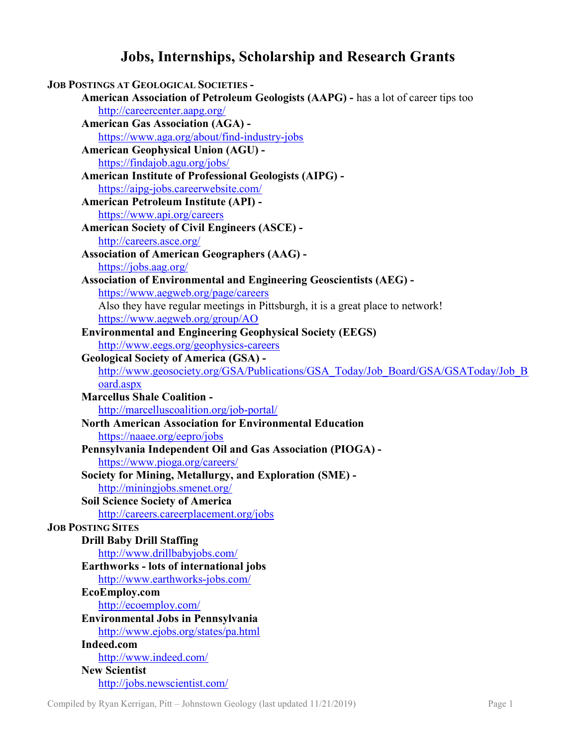## Jobs, Internships, Scholarship and Research Grants

| <b>JOB POSTINGS AT GEOLOGICAL SOCIETIES -</b>                                      |
|------------------------------------------------------------------------------------|
| American Association of Petroleum Geologists (AAPG) - has a lot of career tips too |
| http://careercenter.aapg.org/                                                      |
| <b>American Gas Association (AGA) -</b>                                            |
| https://www.aga.org/about/find-industry-jobs                                       |
| <b>American Geophysical Union (AGU) -</b>                                          |
| https://findajob.agu.org/jobs/                                                     |
| <b>American Institute of Professional Geologists (AIPG) -</b>                      |
| https://aipg-jobs.careerwebsite.com/                                               |
| American Petroleum Institute (API) -                                               |
| https://www.api.org/careers                                                        |
| <b>American Society of Civil Engineers (ASCE) -</b>                                |
| http://careers.asce.org/                                                           |
| <b>Association of American Geographers (AAG) -</b>                                 |
| https://jobs.aag.org/                                                              |
| <b>Association of Environmental and Engineering Geoscientists (AEG) -</b>          |
| https://www.aegweb.org/page/careers                                                |
| Also they have regular meetings in Pittsburgh, it is a great place to network!     |
| https://www.aegweb.org/group/AO                                                    |
| <b>Environmental and Engineering Geophysical Society (EEGS)</b>                    |
| http://www.eegs.org/geophysics-careers                                             |
| <b>Geological Society of America (GSA) -</b>                                       |
| http://www.geosociety.org/GSA/Publications/GSA Today/Job Board/GSA/GSAToday/Job B  |
| oard.aspx                                                                          |
| <b>Marcellus Shale Coalition -</b>                                                 |
| http://marcelluscoalition.org/job-portal/                                          |
| <b>North American Association for Environmental Education</b>                      |
| https://naaee.org/eepro/jobs                                                       |
| Pennsylvania Independent Oil and Gas Association (PIOGA) -                         |
| https://www.pioga.org/careers/                                                     |
| Society for Mining, Metallurgy, and Exploration (SME) -                            |
| http://miningjobs.smenet.org/                                                      |
| <b>Soil Science Society of America</b>                                             |
| http://careers.careerplacement.org/jobs                                            |
| <b>JOB POSTING SITES</b>                                                           |
| <b>Drill Baby Drill Staffing</b>                                                   |
| http://www.drillbabyjobs.com/                                                      |
| Earthworks - lots of international jobs                                            |
| http://www.earthworks-jobs.com/                                                    |
| EcoEmploy.com                                                                      |
| http://ecoemploy.com/                                                              |
| <b>Environmental Jobs in Pennsylvania</b>                                          |
| http://www.ejobs.org/states/pa.html                                                |
| Indeed.com                                                                         |
| http://www.indeed.com/                                                             |
| <b>New Scientist</b>                                                               |
| http://jobs.newscientist.com/                                                      |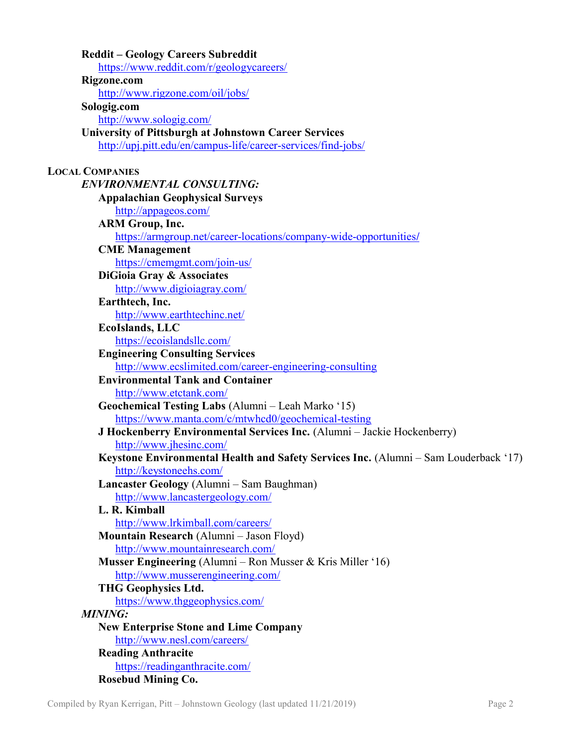| <b>Reddit – Geology Careers Subreddit</b>                                                       |
|-------------------------------------------------------------------------------------------------|
| https://www.reddit.com/r/geologycareers/                                                        |
| Rigzone.com                                                                                     |
| http://www.rigzone.com/oil/jobs/                                                                |
| Sologig.com                                                                                     |
| http://www.sologig.com/                                                                         |
| <b>University of Pittsburgh at Johnstown Career Services</b>                                    |
| http://upj.pitt.edu/en/campus-life/career-services/find-jobs/                                   |
|                                                                                                 |
| <b>LOCAL COMPANIES</b>                                                                          |
| <b>ENVIRONMENTAL CONSULTING:</b>                                                                |
| <b>Appalachian Geophysical Surveys</b>                                                          |
| http://appageos.com/                                                                            |
| <b>ARM Group, Inc.</b>                                                                          |
| https://armgroup.net/career-locations/company-wide-opportunities/                               |
| <b>CME Management</b>                                                                           |
| https://cmemgmt.com/join-us/                                                                    |
| DiGioia Gray & Associates                                                                       |
| http://www.digioiagray.com/                                                                     |
| Earthtech, Inc.                                                                                 |
| http://www.earthtechinc.net/                                                                    |
| <b>EcoIslands, LLC</b>                                                                          |
| https://ecoislandsllc.com/                                                                      |
| <b>Engineering Consulting Services</b>                                                          |
| http://www.ecslimited.com/career-engineering-consulting                                         |
| <b>Environmental Tank and Container</b>                                                         |
| http://www.etctank.com/                                                                         |
| Geochemical Testing Labs (Alumni - Leah Marko '15)                                              |
| https://www.manta.com/c/mtwhcd0/geochemical-testing                                             |
| J Hockenberry Environmental Services Inc. (Alumni - Jackie Hockenberry)                         |
| http://www.jhesinc.com/                                                                         |
| Keystone Environmental Health and Safety Services Inc. (Alumni – Sam Louderback '17)            |
| http://keystoneehs.com/                                                                         |
| Lancaster Geology (Alumni - Sam Baughman)                                                       |
| http://www.lancastergeology.com/                                                                |
| L. R. Kimball                                                                                   |
| http://www.lrkimball.com/careers/                                                               |
| Mountain Research (Alumni - Jason Floyd)                                                        |
| http://www.mountainresearch.com/                                                                |
| Musser Engineering (Alumni – Ron Musser & Kris Miller '16)<br>http://www.musserengineering.com/ |
| <b>THG Geophysics Ltd.</b>                                                                      |
| https://www.thggeophysics.com/                                                                  |
| <b>MINING:</b>                                                                                  |
|                                                                                                 |
| <b>New Enterprise Stone and Lime Company</b><br>http://www.nesl.com/careers/                    |
| <b>Reading Anthracite</b>                                                                       |
| https://readinganthracite.com/                                                                  |
| <b>Rosebud Mining Co.</b>                                                                       |
|                                                                                                 |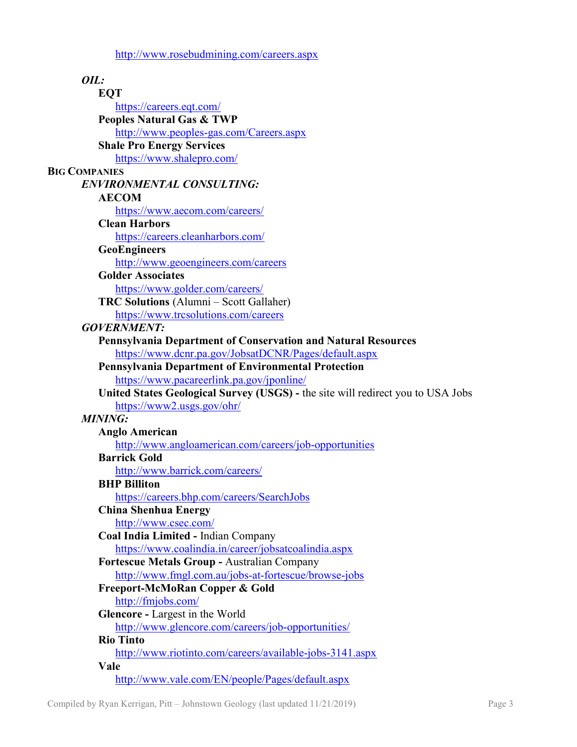http://www.rosebudmining.com/careers.aspx

| OIL:                                                                                  |
|---------------------------------------------------------------------------------------|
| EQT                                                                                   |
| https://careers.eqt.com/                                                              |
| <b>Peoples Natural Gas &amp; TWP</b>                                                  |
| http://www.peoples-gas.com/Careers.aspx                                               |
| <b>Shale Pro Energy Services</b>                                                      |
| https://www.shalepro.com/                                                             |
| <b>BIG COMPANIES</b>                                                                  |
| <b>ENVIRONMENTAL CONSULTING:</b>                                                      |
| <b>AECOM</b>                                                                          |
| https://www.aecom.com/careers/                                                        |
| <b>Clean Harbors</b><br>https://careers.cleanharbors.com/                             |
| <b>GeoEngineers</b>                                                                   |
| http://www.geoengineers.com/careers                                                   |
| <b>Golder Associates</b>                                                              |
| https://www.golder.com/careers/                                                       |
| TRC Solutions (Alumni - Scott Gallaher)                                               |
| https://www.trcsolutions.com/careers                                                  |
| <b>GOVERNMENT:</b>                                                                    |
| <b>Pennsylvania Department of Conservation and Natural Resources</b>                  |
| https://www.dcnr.pa.gov/JobsatDCNR/Pages/default.aspx                                 |
| <b>Pennsylvania Department of Environmental Protection</b>                            |
| https://www.pacareerlink.pa.gov/jponline/                                             |
| United States Geological Survey (USGS) - the site will redirect you to USA Jobs       |
| https://www2.usgs.gov/ohr/                                                            |
| <b>MINING:</b><br><b>Anglo American</b>                                               |
| http://www.angloamerican.com/careers/job-opportunities                                |
| <b>Barrick Gold</b>                                                                   |
| http://www.barrick.com/careers/                                                       |
| <b>BHP Billiton</b>                                                                   |
| https://careers.bhp.com/careers/SearchJobs                                            |
| <b>China Shenhua Energy</b>                                                           |
| http://www.csec.com/                                                                  |
| Coal India Limited - Indian Company                                                   |
| https://www.coalindia.in/career/jobsatcoalindia.aspx                                  |
| Fortescue Metals Group - Australian Company                                           |
| http://www.fmgl.com.au/jobs-at-fortescue/browse-jobs                                  |
| Freeport-McMoRan Copper & Gold                                                        |
| http://fmjobs.com/                                                                    |
| Glencore - Largest in the World<br>http://www.glencore.com/careers/job-opportunities/ |
| <b>Rio Tinto</b>                                                                      |
| http://www.riotinto.com/careers/available-jobs-3141.aspx                              |
| Vale                                                                                  |
| http://www.vale.com/EN/people/Pages/default.aspx                                      |
|                                                                                       |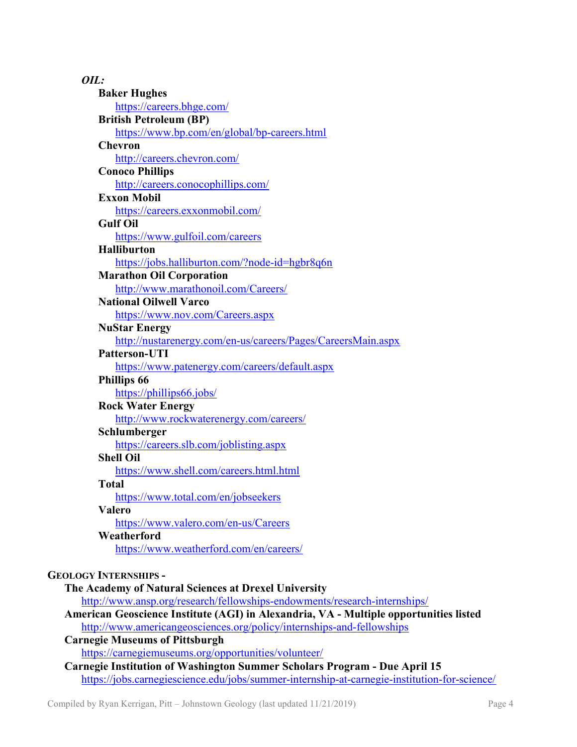| OIL:                                                                                         |
|----------------------------------------------------------------------------------------------|
| <b>Baker Hughes</b>                                                                          |
| https://careers.bhge.com/                                                                    |
| <b>British Petroleum (BP)</b>                                                                |
| https://www.bp.com/en/global/bp-careers.html                                                 |
| <b>Chevron</b>                                                                               |
| http://careers.chevron.com/                                                                  |
| <b>Conoco Phillips</b>                                                                       |
| http://careers.conocophillips.com/                                                           |
| <b>Exxon Mobil</b>                                                                           |
| https://careers.exxonmobil.com/                                                              |
| <b>Gulf Oil</b>                                                                              |
| https://www.gulfoil.com/careers                                                              |
| <b>Halliburton</b>                                                                           |
| https://jobs.halliburton.com/?node-id=hgbr8q6n                                               |
| <b>Marathon Oil Corporation</b>                                                              |
| http://www.marathonoil.com/Careers/                                                          |
| <b>National Oilwell Varco</b>                                                                |
| https://www.nov.com/Careers.aspx                                                             |
| <b>NuStar Energy</b>                                                                         |
| http://nustarenergy.com/en-us/careers/Pages/CareersMain.aspx                                 |
| <b>Patterson-UTI</b>                                                                         |
| https://www.patenergy.com/careers/default.aspx                                               |
| <b>Phillips 66</b>                                                                           |
| https://phillips66.jobs/                                                                     |
| <b>Rock Water Energy</b>                                                                     |
| http://www.rockwaterenergy.com/careers/                                                      |
| Schlumberger                                                                                 |
| https://careers.slb.com/joblisting.aspx                                                      |
| <b>Shell Oil</b>                                                                             |
| https://www.shell.com/careers.html.html                                                      |
| <b>Total</b>                                                                                 |
| https://www.total.com/en/jobseekers                                                          |
| Valero<br>https://www.valero.com/en-us/Careers                                               |
| Weatherford                                                                                  |
| https://www.weatherford.com/en/careers/                                                      |
|                                                                                              |
| <b>GEOLOGY INTERNSHIPS -</b>                                                                 |
| The Academy of Natural Sciences at Drexel University                                         |
| http://www.ansp.org/research/fellowships-endowments/research-internships/                    |
| American Geoscience Institute (AGI) in Alexandria, VA - Multiple opportunities listed        |
| http://www.americangeosciences.org/policy/internships-and-fellowships                        |
| <b>Carnegie Museums of Pittsburgh</b>                                                        |
| https://carnegiemuseums.org/opportunities/volunteer/                                         |
| Carnegie Institution of Washington Summer Scholars Program - Due April 15                    |
| https://jobs.carnegiescience.edu/jobs/summer-internship-at-carnegie-institution-for-science/ |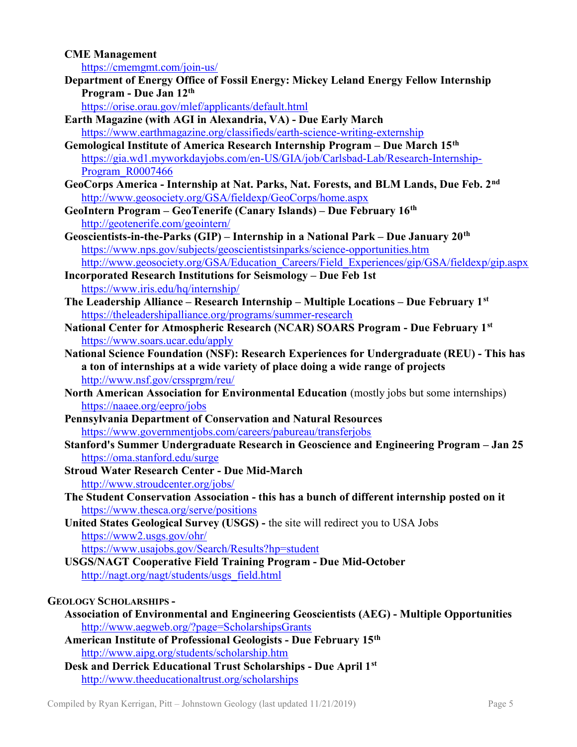## CME Management

https://cmemgmt.com/join-us/

Department of Energy Office of Fossil Energy: Mickey Leland Energy Fellow Internship Program - Due Jan 12<sup>th</sup>

https://orise.orau.gov/mlef/applicants/default.html

- Earth Magazine (with AGI in Alexandria, VA) Due Early March https://www.earthmagazine.org/classifieds/earth-science-writing-externship
- Gemological Institute of America Research Internship Program Due March 15th https://gia.wd1.myworkdayjobs.com/en-US/GIA/job/Carlsbad-Lab/Research-Internship-Program R0007466
- GeoCorps America Internship at Nat. Parks, Nat. Forests, and BLM Lands, Due Feb. 2<sup>nd</sup> http://www.geosociety.org/GSA/fieldexp/GeoCorps/home.aspx
- GeoIntern Program GeoTenerife (Canary Islands) Due February 16th http://geotenerife.com/geointern/
- Geoscientists-in-the-Parks (GIP) Internship in a National Park Due January 20<sup>th</sup> https://www.nps.gov/subjects/geoscientistsinparks/science-opportunities.htm http://www.geosociety.org/GSA/Education\_Careers/Field\_Experiences/gip/GSA/fieldexp/gip.aspx
- Incorporated Research Institutions for Seismology Due Feb 1st https://www.iris.edu/hq/internship/
- The Leadership Alliance Research Internship Multiple Locations Due February  $1^{st}$ https://theleadershipalliance.org/programs/summer-research
- National Center for Atmospheric Research (NCAR) SOARS Program Due February 1st https://www.soars.ucar.edu/apply
- National Science Foundation (NSF): Research Experiences for Undergraduate (REU) This has a ton of internships at a wide variety of place doing a wide range of projects http://www.nsf.gov/crssprgm/reu/
- North American Association for Environmental Education (mostly jobs but some internships) https://naaee.org/eepro/jobs
- Pennsylvania Department of Conservation and Natural Resources https://www.governmentjobs.com/careers/pabureau/transferjobs
- Stanford's Summer Undergraduate Research in Geoscience and Engineering Program Jan 25 https://oma.stanford.edu/surge
- Stroud Water Research Center Due Mid-March http://www.stroudcenter.org/jobs/
- The Student Conservation Association this has a bunch of different internship posted on it https://www.thesca.org/serve/positions
- United States Geological Survey (USGS) the site will redirect you to USA Jobs https://www2.usgs.gov/ohr/ https://www.usajobs.gov/Search/Results?hp=student
- USGS/NAGT Cooperative Field Training Program Due Mid-October http://nagt.org/nagt/students/usgs\_field.html

## GEOLOGY SCHOLARSHIPS -

- Association of Environmental and Engineering Geoscientists (AEG) Multiple Opportunities http://www.aegweb.org/?page=ScholarshipsGrants
- American Institute of Professional Geologists Due February 15th http://www.aipg.org/students/scholarship.htm
- Desk and Derrick Educational Trust Scholarships Due April 1st http://www.theeducationaltrust.org/scholarships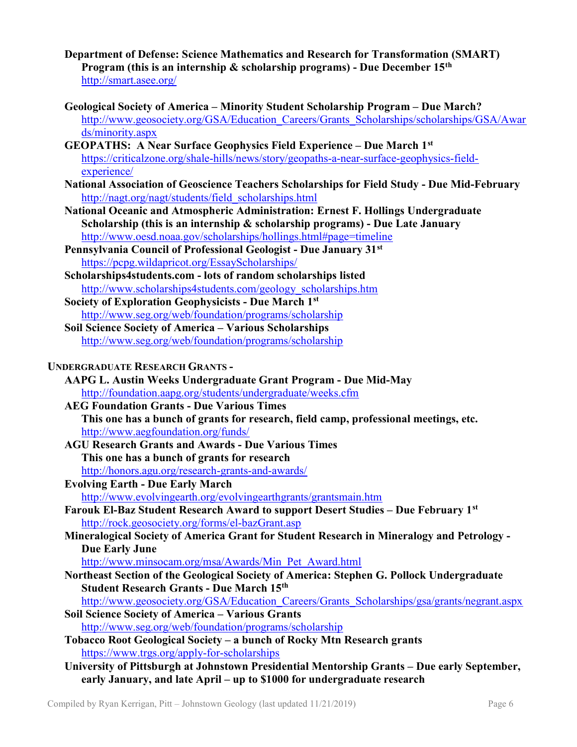- Department of Defense: Science Mathematics and Research for Transformation (SMART) Program (this is an internship  $\&$  scholarship programs) - Due December 15<sup>th</sup> http://smart.asee.org/
- Geological Society of America Minority Student Scholarship Program Due March? http://www.geosociety.org/GSA/Education\_Careers/Grants\_Scholarships/scholarships/GSA/Awar ds/minority.aspx
- GEOPATHS: A Near Surface Geophysics Field Experience Due March 1st https://criticalzone.org/shale-hills/news/story/geopaths-a-near-surface-geophysics-fieldexperience/
- National Association of Geoscience Teachers Scholarships for Field Study Due Mid-February http://nagt.org/nagt/students/field\_scholarships.html
- National Oceanic and Atmospheric Administration: Ernest F. Hollings Undergraduate Scholarship (this is an internship & scholarship programs) - Due Late January http://www.oesd.noaa.gov/scholarships/hollings.html#page=timeline
- Pennsylvania Council of Professional Geologist Due January 31st https://pcpg.wildapricot.org/EssayScholarships/
- Scholarships4students.com lots of random scholarships listed http://www.scholarships4students.com/geology\_scholarships.htm
- Society of Exploration Geophysicists Due March 1st http://www.seg.org/web/foundation/programs/scholarship
- Soil Science Society of America Various Scholarships http://www.seg.org/web/foundation/programs/scholarship
- UNDERGRADUATE RESEARCH GRANTS
	- AAPG L. Austin Weeks Undergraduate Grant Program Due Mid-May http://foundation.aapg.org/students/undergraduate/weeks.cfm
	- AEG Foundation Grants Due Various Times This one has a bunch of grants for research, field camp, professional meetings, etc. http://www.aegfoundation.org/funds/
	- AGU Research Grants and Awards Due Various Times This one has a bunch of grants for research http://honors.agu.org/research-grants-and-awards/
	- Evolving Earth Due Early March

http://www.evolvingearth.org/evolvingearthgrants/grantsmain.htm

- Farouk El-Baz Student Research Award to support Desert Studies Due February 1st http://rock.geosociety.org/forms/el-bazGrant.asp
- Mineralogical Society of America Grant for Student Research in Mineralogy and Petrology Due Early June

http://www.minsocam.org/msa/Awards/Min\_Pet\_Award.html

- Northeast Section of the Geological Society of America: Stephen G. Pollock Undergraduate Student Research Grants - Due March 15th
- http://www.geosociety.org/GSA/Education\_Careers/Grants\_Scholarships/gsa/grants/negrant.aspx Soil Science Society of America – Various Grants

http://www.seg.org/web/foundation/programs/scholarship

- Tobacco Root Geological Society a bunch of Rocky Mtn Research grants https://www.trgs.org/apply-for-scholarships
- University of Pittsburgh at Johnstown Presidential Mentorship Grants Due early September, early January, and late April – up to \$1000 for undergraduate research